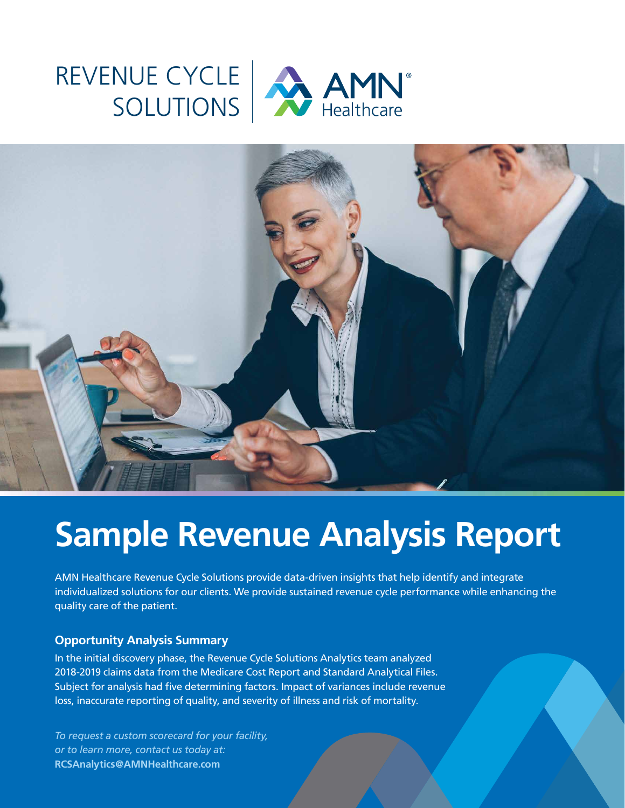### REVENUE CYCLE SOLUTIONS



## **Sample Revenue Analysis Report**

AMN Healthcare Revenue Cycle Solutions provide data-driven insights that help identify and integrate individualized solutions for our clients. We provide sustained revenue cycle performance while enhancing the quality care of the patient.

#### **Opportunity Analysis Summary**

In the initial discovery phase, the Revenue Cycle Solutions Analytics team analyzed 2018-2019 claims data from the Medicare Cost Report and Standard Analytical Files. Subject for analysis had five determining factors. Impact of variances include revenue loss, inaccurate reporting of quality, and severity of illness and risk of mortality.

*To request a custom scorecard for your facility, or to learn more, contact us today at:* **RCSAnalytics@AMNHealthcare.com**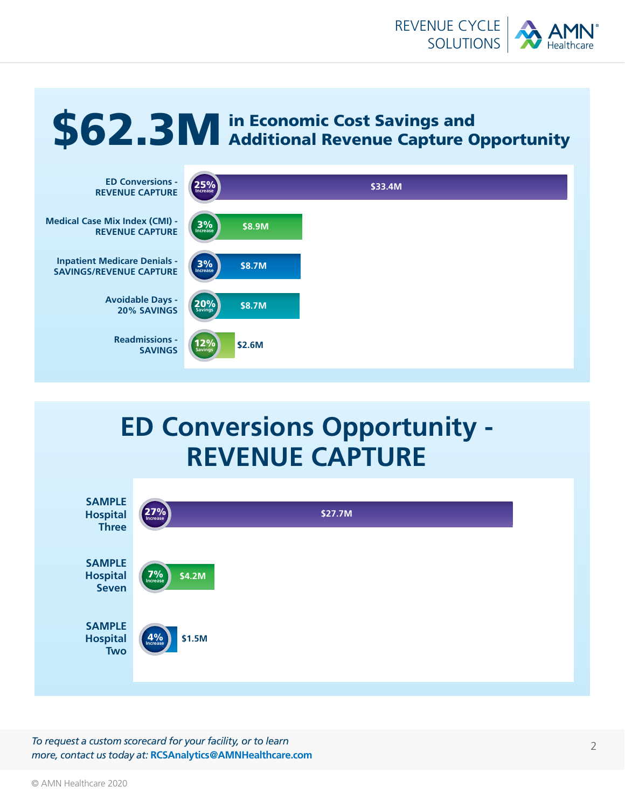

# \$62.3M in Economic Cost Savings and<br>



#### **ED Conversions Opportunity - REVENUE CAPTURE**



*To request a custom scorecard for your facility, or to learn more, contact us today at:* **RCSAnalytics@AMNHealthcare.com**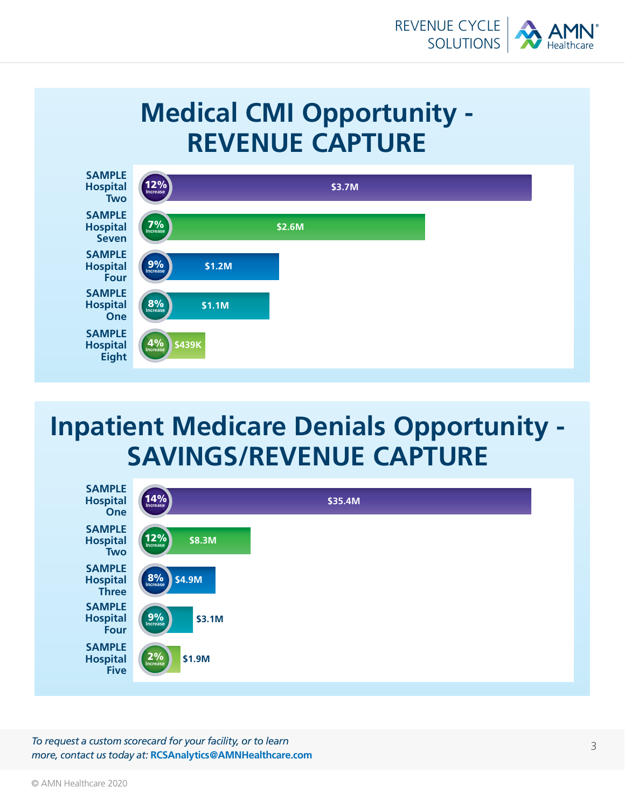

### **Medical CMI Opportunity - REVENUE CAPTURE**



#### **Inpatient Medicare Denials Opportunity - SAVINGS/REVENUE CAPTURE**



*To request a custom scorecard for your facility, or to learn more, contact us today at:* **RCSAnalytics@AMNHealthcare.com**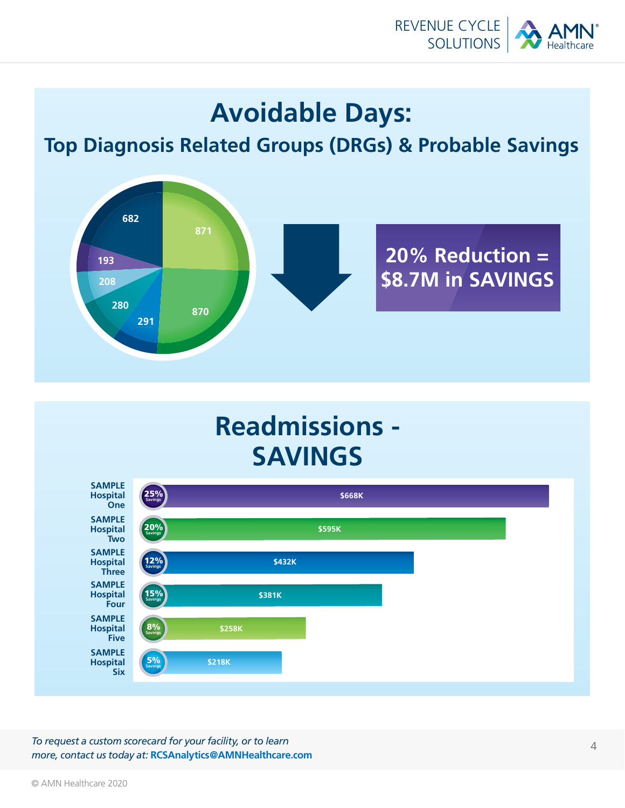

#### **Avoidable Days:**

**Top Diagnosis Related Groups (DRGs) & Probable Savings**



### **Readmissions - SAVINGS**



*To request a custom scorecard for your facility, or to learn more, contact us today at:* **RCSAnalytics@AMNHealthcare.com**